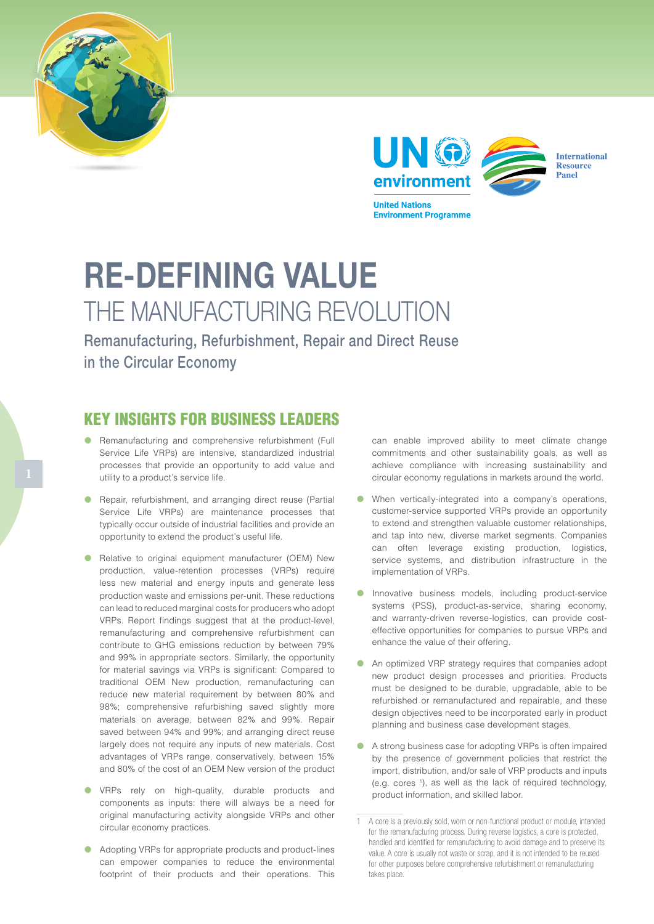



**Environment Programme** 

**International Resource** Panel

## RE-DEFINING VALUE THE MANUFACTURING REVOLUTION

Remanufacturing, Refurbishment, Repair and Direct Reuse in the Circular Economy

## KEY INSIGHTS FOR BUSINESS LEADERS

- Remanufacturing and comprehensive refurbishment (Full Service Life VRPs) are intensive, standardized industrial processes that provide an opportunity to add value and utility to a product's service life.
- **•** Repair, refurbishment, and arranging direct reuse (Partial Service Life VRPs) are maintenance processes that typically occur outside of industrial facilities and provide an opportunity to extend the product's useful life.
- **•** Relative to original equipment manufacturer (OEM) New production, value-retention processes (VRPs) require less new material and energy inputs and generate less production waste and emissions per-unit. These reductions can lead to reduced marginal costs for producers who adopt VRPs. Report findings suggest that at the product-level, remanufacturing and comprehensive refurbishment can contribute to GHG emissions reduction by between 79% and 99% in appropriate sectors. Similarly, the opportunity for material savings via VRPs is significant: Compared to traditional OEM New production, remanufacturing can reduce new material requirement by between 80% and 98%; comprehensive refurbishing saved slightly more materials on average, between 82% and 99%. Repair saved between 94% and 99%; and arranging direct reuse largely does not require any inputs of new materials. Cost advantages of VRPs range, conservatively, between 15% and 80% of the cost of an OEM New version of the product
- **•** VRPs rely on high-quality, durable products and components as inputs: there will always be a need for original manufacturing activity alongside VRPs and other circular economy practices.
- Adopting VRPs for appropriate products and product-lines can empower companies to reduce the environmental footprint of their products and their operations. This

can enable improved ability to meet climate change commitments and other sustainability goals, as well as achieve compliance with increasing sustainability and circular economy regulations in markets around the world.

- When vertically-integrated into a company's operations, customer-service supported VRPs provide an opportunity to extend and strengthen valuable customer relationships, and tap into new, diverse market segments. Companies can often leverage existing production, logistics, service systems, and distribution infrastructure in the implementation of VRPs.
- Innovative business models, including product-service systems (PSS), product-as-service, sharing economy, and warranty-driven reverse-logistics, can provide costeffective opportunities for companies to pursue VRPs and enhance the value of their offering.
- An optimized VRP strategy requires that companies adopt new product design processes and priorities. Products must be designed to be durable, upgradable, able to be refurbished or remanufactured and repairable, and these design objectives need to be incorporated early in product planning and business case development stages.
- A strong business case for adopting VRPs is often impaired by the presence of government policies that restrict the import, distribution, and/or sale of VRP products and inputs (e.g. cores 1 ), as well as the lack of required technology, product information, and skilled labor.

<sup>1</sup> A core is a previously sold, worn or non-functional product or module, intended for the remanufacturing process. During reverse logistics, a core is protected, handled and identified for remanufacturing to avoid damage and to preserve its value. A core is usually not waste or scrap, and it is not intended to be reused for other purposes before comprehensive refurbishment or remanufacturing takes place.